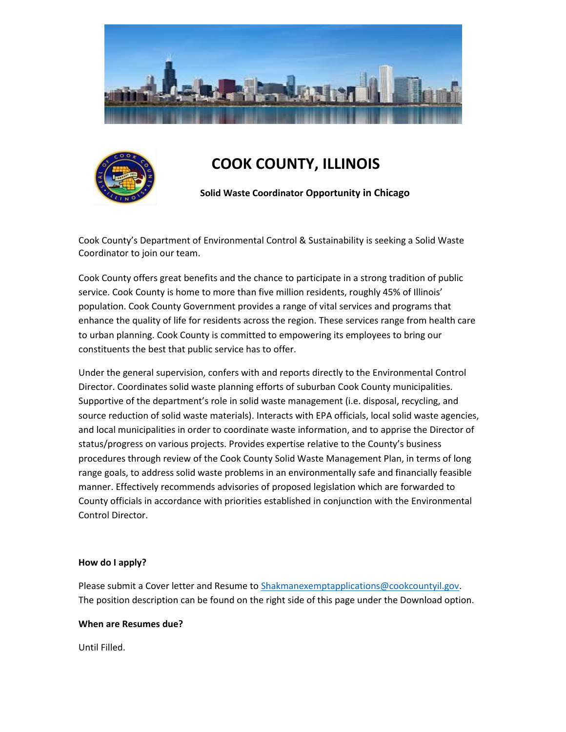



# **COOK COUNTY, ILLINOIS**

 **Solid Waste Coordinator Opportunity in Chicago**

Cook County's Department of Environmental Control & Sustainability is seeking a Solid Waste Coordinator to join our team.

Cook County offers great benefits and the chance to participate in a strong tradition of public service. Cook County is home to more than five million residents, roughly 45% of Illinois' population. Cook County Government provides a range of vital services and programs that enhance the quality of life for residents across the region. These services range from health care to urban planning. Cook County is committed to empowering its employees to bring our constituents the best that public service has to offer.

Under the general supervision, confers with and reports directly to the Environmental Control Director. Coordinates solid waste planning efforts of suburban Cook County municipalities. Supportive of the department's role in solid waste management (i.e. disposal, recycling, and source reduction of solid waste materials). Interacts with EPA officials, local solid waste agencies, and local municipalities in order to coordinate waste information, and to apprise the Director of status/progress on various projects. Provides expertise relative to the County's business procedures through review of the Cook County Solid Waste Management Plan, in terms of long range goals, to address solid waste problems in an environmentally safe and financially feasible manner. Effectively recommends advisories of proposed legislation which are forwarded to County officials in accordance with priorities established in conjunction with the Environmental Control Director.

#### **How do I apply?**

Please submit a Cover letter and Resume to [Shakmanexemptapplications@cookcountyil.gov.](mailto:Shakmanexemptapplications@cookcountyil.gov) The position description can be found on the right side of this page under the Download option.

#### **When are Resumes due?**

Until Filled.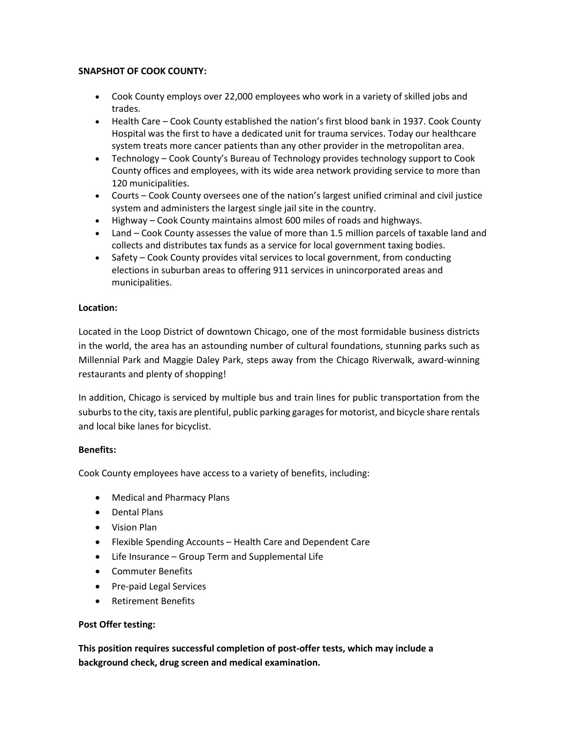## **SNAPSHOT OF COOK COUNTY:**

- Cook County employs over 22,000 employees who work in a variety of skilled jobs and trades.
- Health Care Cook County established the nation's first blood bank in 1937. Cook County Hospital was the first to have a dedicated unit for trauma services. Today our healthcare system treats more cancer patients than any other provider in the metropolitan area.
- Technology Cook County's Bureau of Technology provides technology support to Cook County offices and employees, with its wide area network providing service to more than 120 municipalities.
- Courts Cook County oversees one of the nation's largest unified criminal and civil justice system and administers the largest single jail site in the country.
- Highway Cook County maintains almost 600 miles of roads and highways.
- Land Cook County assesses the value of more than 1.5 million parcels of taxable land and collects and distributes tax funds as a service for local government taxing bodies.
- Safety Cook County provides vital services to local government, from conducting elections in suburban areas to offering 911 services in unincorporated areas and municipalities.

## **Location:**

Located in the Loop District of downtown Chicago, one of the most formidable business districts in the world, the area has an astounding number of cultural foundations, stunning parks such as Millennial Park and Maggie Daley Park, steps away from the Chicago Riverwalk, award-winning restaurants and plenty of shopping!

In addition, Chicago is serviced by multiple bus and train lines for public transportation from the suburbs to the city, taxis are plentiful, public parking garages for motorist, and bicycle share rentals and local bike lanes for bicyclist.

## **Benefits:**

Cook County employees have access to a variety of benefits, including:

- Medical and Pharmacy Plans
- Dental Plans
- Vision Plan
- Flexible Spending Accounts Health Care and Dependent Care
- Life Insurance Group Term and Supplemental Life
- Commuter Benefits
- Pre-paid Legal Services
- Retirement Benefits

#### **Post Offer testing:**

**This position requires successful completion of post-offer tests, which may include a background check, drug screen and medical examination.**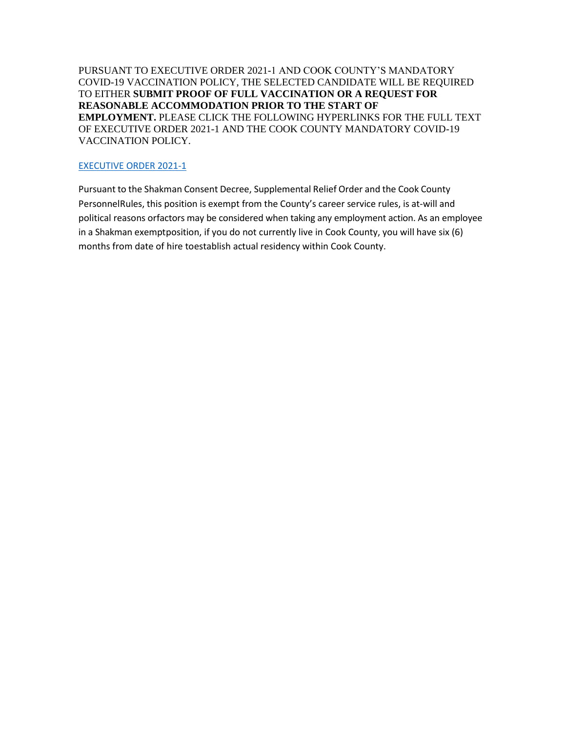PURSUANT TO EXECUTIVE ORDER 2021-1 AND COOK COUNTY'S MANDATORY COVID-19 VACCINATION POLICY, THE SELECTED CANDIDATE WILL BE REQUIRED TO EITHER **SUBMIT PROOF OF FULL VACCINATION OR A REQUEST FOR REASONABLE ACCOMMODATION PRIOR TO THE START OF EMPLOYMENT.** PLEASE CLICK THE FOLLOWING HYPERLINKS FOR THE FULL TEXT OF EXECUTIVE ORDER 2021-1 AND THE COOK COUNTY MANDATORY COVID-19 VACCINATION POLICY.

## [EXECUTIVE ORDER 2021-1](https://www.cookcountyil.gov/agency/office-president)

Pursuant to the Shakman Consent Decree, Supplemental Relief Order and the Cook County PersonnelRules, this position is exempt from the County's career service rules, is at-will and political reasons orfactors may be considered when taking any employment action. As an employee in a Shakman exemptposition, if you do not currently live in Cook County, you will have six (6) months from date of hire toestablish actual residency within Cook County.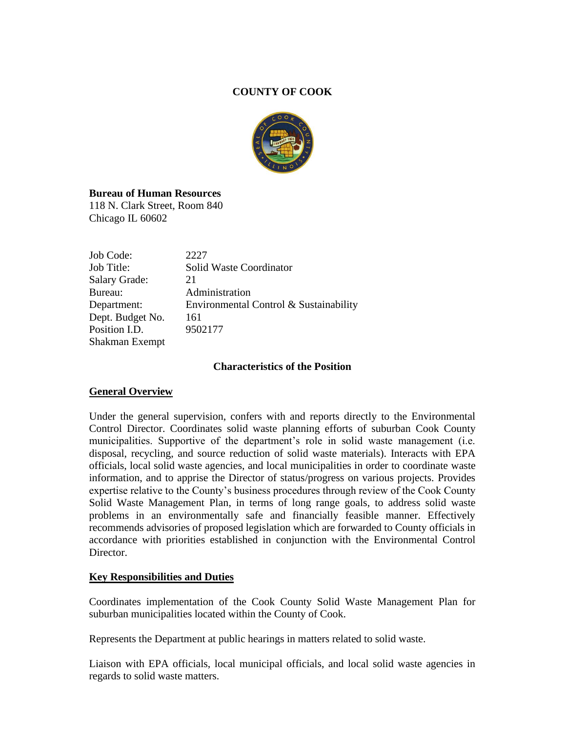# **COUNTY OF COOK**



## **Bureau of Human Resources**

118 N. Clark Street, Room 840 Chicago IL 60602

| Job Code:            | 2227                                   |
|----------------------|----------------------------------------|
| Job Title:           | Solid Waste Coordinator                |
| <b>Salary Grade:</b> | 21                                     |
| Bureau:              | Administration                         |
| Department:          | Environmental Control & Sustainability |
| Dept. Budget No.     | 161                                    |
| Position I.D.        | 9502177                                |
| Shakman Exempt       |                                        |

## **Characteristics of the Position**

## **General Overview**

Under the general supervision, confers with and reports directly to the Environmental Control Director. Coordinates solid waste planning efforts of suburban Cook County municipalities. Supportive of the department's role in solid waste management (i.e. disposal, recycling, and source reduction of solid waste materials). Interacts with EPA officials, local solid waste agencies, and local municipalities in order to coordinate waste information, and to apprise the Director of status/progress on various projects. Provides expertise relative to the County's business procedures through review of the Cook County Solid Waste Management Plan, in terms of long range goals, to address solid waste problems in an environmentally safe and financially feasible manner. Effectively recommends advisories of proposed legislation which are forwarded to County officials in accordance with priorities established in conjunction with the Environmental Control Director.

## **Key Responsibilities and Duties**

Coordinates implementation of the Cook County Solid Waste Management Plan for suburban municipalities located within the County of Cook.

Represents the Department at public hearings in matters related to solid waste.

Liaison with EPA officials, local municipal officials, and local solid waste agencies in regards to solid waste matters.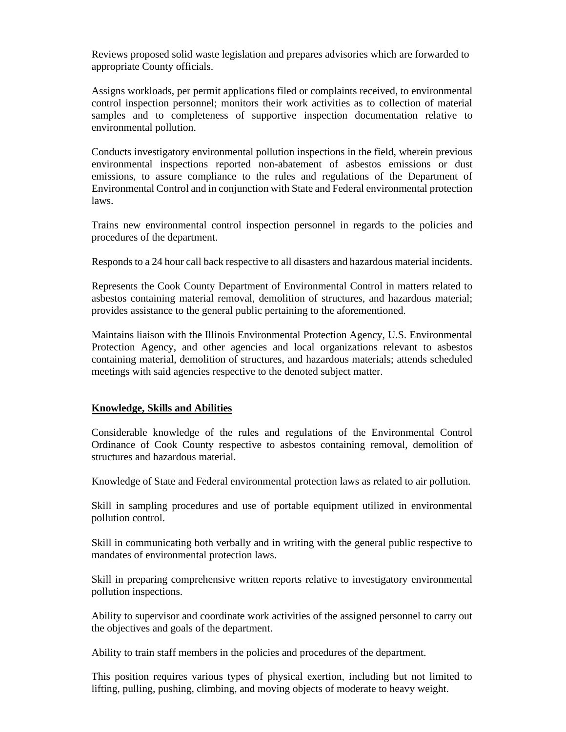Reviews proposed solid waste legislation and prepares advisories which are forwarded to appropriate County officials.

Assigns workloads, per permit applications filed or complaints received, to environmental control inspection personnel; monitors their work activities as to collection of material samples and to completeness of supportive inspection documentation relative to environmental pollution.

Conducts investigatory environmental pollution inspections in the field, wherein previous environmental inspections reported non-abatement of asbestos emissions or dust emissions, to assure compliance to the rules and regulations of the Department of Environmental Control and in conjunction with State and Federal environmental protection laws.

Trains new environmental control inspection personnel in regards to the policies and procedures of the department.

Responds to a 24 hour call back respective to all disasters and hazardous material incidents.

Represents the Cook County Department of Environmental Control in matters related to asbestos containing material removal, demolition of structures, and hazardous material; provides assistance to the general public pertaining to the aforementioned.

Maintains liaison with the Illinois Environmental Protection Agency, U.S. Environmental Protection Agency, and other agencies and local organizations relevant to asbestos containing material, demolition of structures, and hazardous materials; attends scheduled meetings with said agencies respective to the denoted subject matter.

#### **Knowledge, Skills and Abilities**

Considerable knowledge of the rules and regulations of the Environmental Control Ordinance of Cook County respective to asbestos containing removal, demolition of structures and hazardous material.

Knowledge of State and Federal environmental protection laws as related to air pollution.

Skill in sampling procedures and use of portable equipment utilized in environmental pollution control.

Skill in communicating both verbally and in writing with the general public respective to mandates of environmental protection laws.

Skill in preparing comprehensive written reports relative to investigatory environmental pollution inspections.

Ability to supervisor and coordinate work activities of the assigned personnel to carry out the objectives and goals of the department.

Ability to train staff members in the policies and procedures of the department.

This position requires various types of physical exertion, including but not limited to lifting, pulling, pushing, climbing, and moving objects of moderate to heavy weight.